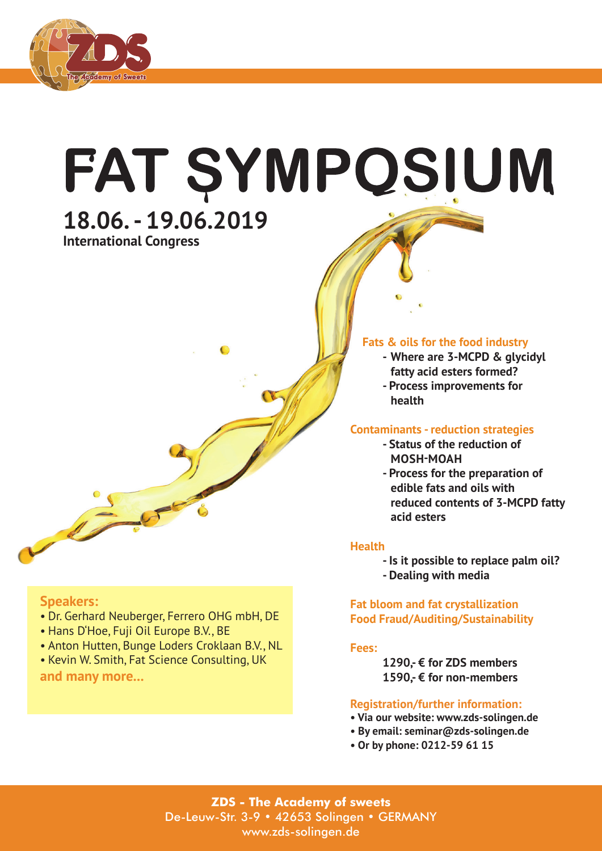

# FAT ŞYMPQSIUM **18.06. - 19.06.2019**

**International Congress**



### **Fats & oils for the food industry**

- **- Where are 3-MCPD & glycidyl fatty acid esters formed?**
- **Process improvements for health**

# **Contaminants - reduction strategies**

- **Status of the reduction of MOSH-MOAH**
- **Process for the preparation of edible fats and oils with reduced contents of 3-MCPD fatty acid esters**

### **Health**

- **Is it possible to replace palm oil?**
- **Dealing with media**

### **Fat bloom and fat crystallization Food Fraud/Auditing/Sustainability**

### **Fees:**

 **1290,- € for ZDS members 1590,- € for non-members**

### **Registration/further information:**

- **Via our website: www.zds-solingen.de**
- **By email: seminar@zds-solingen.de**
- **Or by phone: 0212-59 61 15**

**ZDS - The Academy of sweets** De-Leuw-Str. 3-9 • 42653 Solingen • GERMANY www.zds-solingen.de

## **Speakers:**

- Dr. Gerhard Neuberger, Ferrero OHG mbH, DE
- Hans D'Hoe, Fuji Oil Europe B.V., BE
- Anton Hutten, Bunge Loders Croklaan B.V., NL
- Kevin W. Smith, Fat Science Consulting, UK **and many more...**